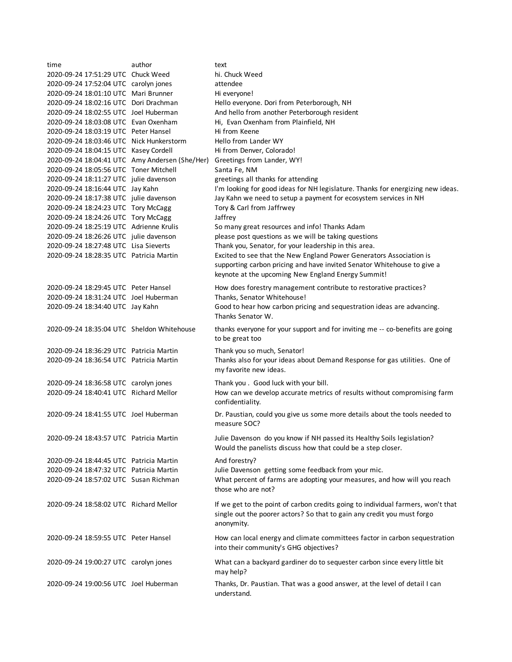| time                                           | author | text                                                                             |
|------------------------------------------------|--------|----------------------------------------------------------------------------------|
| 2020-09-24 17:51:29 UTC Chuck Weed             |        | hi. Chuck Weed                                                                   |
| 2020-09-24 17:52:04 UTC carolyn jones          |        | attendee                                                                         |
| 2020-09-24 18:01:10 UTC Mari Brunner           |        | Hi everyone!                                                                     |
| 2020-09-24 18:02:16 UTC Dori Drachman          |        | Hello everyone. Dori from Peterborough, NH                                       |
| 2020-09-24 18:02:55 UTC Joel Huberman          |        | And hello from another Peterborough resident                                     |
| 2020-09-24 18:03:08 UTC Evan Oxenham           |        | Hi, Evan Oxenham from Plainfield, NH                                             |
| 2020-09-24 18:03:19 UTC Peter Hansel           |        | Hi from Keene                                                                    |
| 2020-09-24 18:03:46 UTC Nick Hunkerstorm       |        | Hello from Lander WY                                                             |
| 2020-09-24 18:04:15 UTC Kasey Cordell          |        | Hi from Denver, Colorado!                                                        |
| 2020-09-24 18:04:41 UTC Amy Andersen (She/Her) |        | Greetings from Lander, WY!                                                       |
| 2020-09-24 18:05:56 UTC Toner Mitchell         |        | Santa Fe, NM                                                                     |
| 2020-09-24 18:11:27 UTC julie davenson         |        | greetings all thanks for attending                                               |
| 2020-09-24 18:16:44 UTC Jay Kahn               |        | I'm looking for good ideas for NH legislature. Thanks for energizing new ideas.  |
| 2020-09-24 18:17:38 UTC julie davenson         |        | Jay Kahn we need to setup a payment for ecosystem services in NH                 |
| 2020-09-24 18:24:23 UTC Tory McCagg            |        | Tory & Carl from Jaffrwey                                                        |
| 2020-09-24 18:24:26 UTC Tory McCagg            |        | Jaffrey                                                                          |
| 2020-09-24 18:25:19 UTC Adrienne Krulis        |        | So many great resources and info! Thanks Adam                                    |
| 2020-09-24 18:26:26 UTC julie davenson         |        | please post questions as we will be taking questions                             |
| 2020-09-24 18:27:48 UTC Lisa Sieverts          |        | Thank you, Senator, for your leadership in this area.                            |
| 2020-09-24 18:28:35 UTC Patricia Martin        |        | Excited to see that the New England Power Generators Association is              |
|                                                |        | supporting carbon pricing and have invited Senator Whitehouse to give a          |
|                                                |        | keynote at the upcoming New England Energy Summit!                               |
|                                                |        |                                                                                  |
| 2020-09-24 18:29:45 UTC Peter Hansel           |        | How does forestry management contribute to restorative practices?                |
| 2020-09-24 18:31:24 UTC Joel Huberman          |        | Thanks, Senator Whitehouse!                                                      |
| 2020-09-24 18:34:40 UTC Jay Kahn               |        | Good to hear how carbon pricing and sequestration ideas are advancing.           |
|                                                |        | Thanks Senator W.                                                                |
| 2020-09-24 18:35:04 UTC Sheldon Whitehouse     |        | thanks everyone for your support and for inviting me -- co-benefits are going    |
|                                                |        | to be great too                                                                  |
| 2020-09-24 18:36:29 UTC Patricia Martin        |        | Thank you so much, Senator!                                                      |
| 2020-09-24 18:36:54 UTC Patricia Martin        |        | Thanks also for your ideas about Demand Response for gas utilities. One of       |
|                                                |        | my favorite new ideas.                                                           |
| 2020-09-24 18:36:58 UTC carolyn jones          |        | Thank you . Good luck with your bill.                                            |
| 2020-09-24 18:40:41 UTC Richard Mellor         |        | How can we develop accurate metrics of results without compromising farm         |
|                                                |        | confidentiality.                                                                 |
|                                                |        |                                                                                  |
| 2020-09-24 18:41:55 UTC Joel Huberman          |        | Dr. Paustian, could you give us some more details about the tools needed to      |
|                                                |        | measure SOC?                                                                     |
| 2020-09-24 18:43:57 UTC Patricia Martin        |        | Julie Davenson do you know if NH passed its Healthy Soils legislation?           |
|                                                |        | Would the panelists discuss how that could be a step closer.                     |
|                                                |        |                                                                                  |
| 2020-09-24 18:44:45 UTC Patricia Martin        |        | And forestry?                                                                    |
| 2020-09-24 18:47:32 UTC Patricia Martin        |        | Julie Davenson getting some feedback from your mic.                              |
| 2020-09-24 18:57:02 UTC Susan Richman          |        | What percent of farms are adopting your measures, and how will you reach         |
|                                                |        | those who are not?                                                               |
| 2020-09-24 18:58:02 UTC Richard Mellor         |        | If we get to the point of carbon credits going to individual farmers, won't that |
|                                                |        | single out the poorer actors? So that to gain any credit you must forgo          |
|                                                |        | anonymity.                                                                       |
|                                                |        |                                                                                  |
| 2020-09-24 18:59:55 UTC Peter Hansel           |        | How can local energy and climate committees factor in carbon sequestration       |
|                                                |        | into their community's GHG objectives?                                           |
| 2020-09-24 19:00:27 UTC carolyn jones          |        | What can a backyard gardiner do to sequester carbon since every little bit       |
|                                                |        | may help?                                                                        |
| 2020-09-24 19:00:56 UTC Joel Huberman          |        | Thanks, Dr. Paustian. That was a good answer, at the level of detail I can       |
|                                                |        | understand.                                                                      |